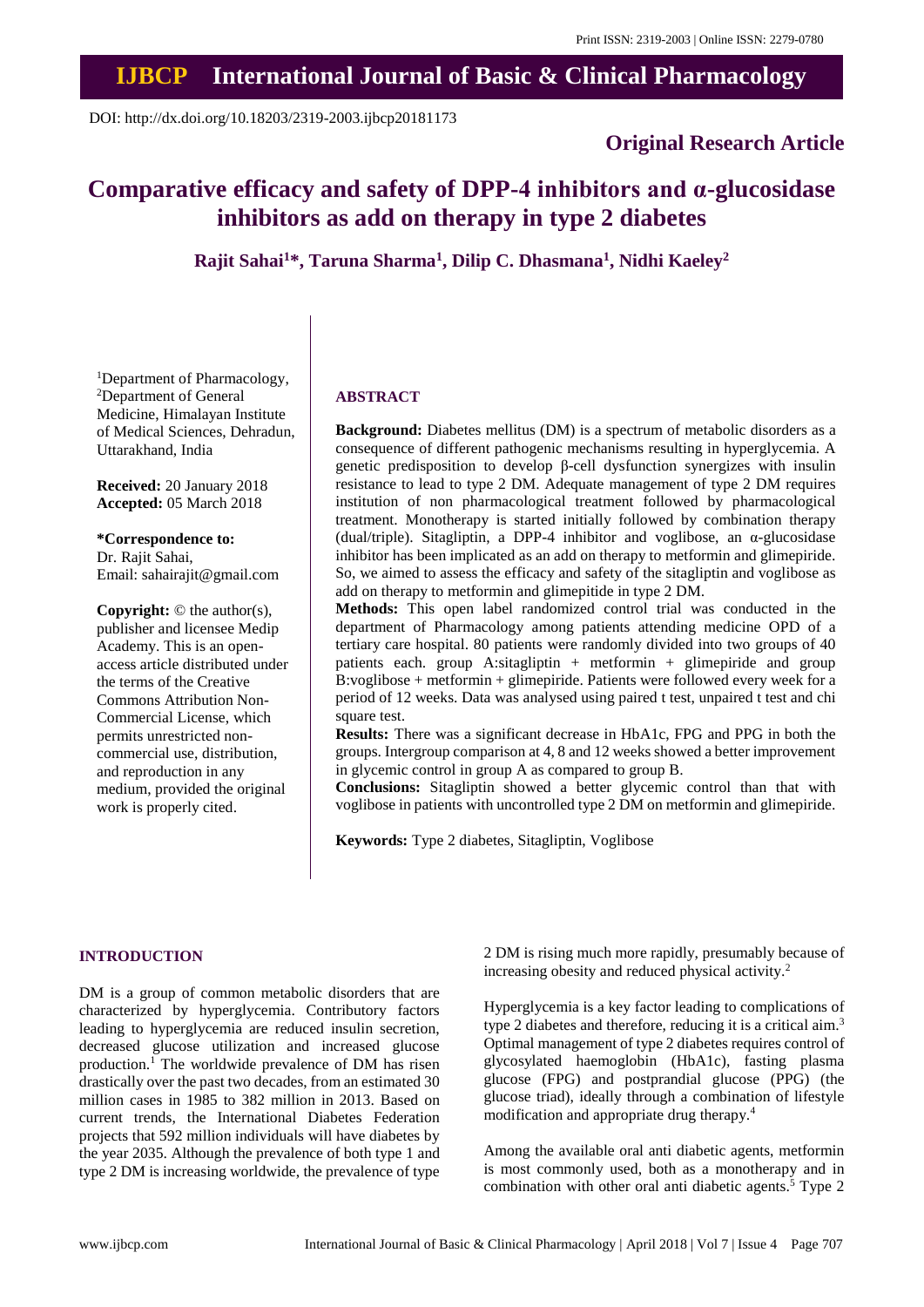## **IJBCP International Journal of Basic & Clinical Pharmacology**

DOI: http://dx.doi.org/10.18203/2319-2003.ijbcp20181173

### **Original Research Article**

# **Comparative efficacy and safety of DPP-4 inhibitors and α-glucosidase inhibitors as add on therapy in type 2 diabetes**

**Rajit Sahai<sup>1</sup>\*, Taruna Sharma<sup>1</sup> , Dilip C. Dhasmana<sup>1</sup> , Nidhi Kaeley<sup>2</sup>**

<sup>1</sup>Department of Pharmacology, <sup>2</sup>Department of General Medicine, Himalayan Institute of Medical Sciences, Dehradun, Uttarakhand, India

**Received:** 20 January 2018 **Accepted:** 05 March 2018

**\*Correspondence to:** Dr. Rajit Sahai, Email: sahairajit@gmail.com

**Copyright:** © the author(s), publisher and licensee Medip Academy. This is an openaccess article distributed under the terms of the Creative Commons Attribution Non-Commercial License, which permits unrestricted noncommercial use, distribution, and reproduction in any medium, provided the original work is properly cited.

#### **ABSTRACT**

**Background:** Diabetes mellitus (DM) is a spectrum of metabolic disorders as a consequence of different pathogenic mechanisms resulting in hyperglycemia. A genetic predisposition to develop β-cell dysfunction synergizes with insulin resistance to lead to type 2 DM. Adequate management of type 2 DM requires institution of non pharmacological treatment followed by pharmacological treatment. Monotherapy is started initially followed by combination therapy (dual/triple). Sitagliptin, a DPP-4 inhibitor and voglibose, an α-glucosidase inhibitor has been implicated as an add on therapy to metformin and glimepiride. So, we aimed to assess the efficacy and safety of the sitagliptin and voglibose as add on therapy to metformin and glimepitide in type 2 DM.

**Methods:** This open label randomized control trial was conducted in the department of Pharmacology among patients attending medicine OPD of a tertiary care hospital. 80 patients were randomly divided into two groups of 40 patients each. group A:sitagliptin + metformin + glimepiride and group B:voglibose + metformin + glimepiride. Patients were followed every week for a period of 12 weeks. Data was analysed using paired t test, unpaired t test and chi square test.

**Results:** There was a significant decrease in HbA1c, FPG and PPG in both the groups. Intergroup comparison at 4, 8 and 12 weeks showed a better improvement in glycemic control in group A as compared to group B.

**Conclusions:** Sitagliptin showed a better glycemic control than that with voglibose in patients with uncontrolled type 2 DM on metformin and glimepiride.

**Keywords:** Type 2 diabetes, Sitagliptin, Voglibose

#### **INTRODUCTION**

DM is a group of common metabolic disorders that are characterized by hyperglycemia. Contributory factors leading to hyperglycemia are reduced insulin secretion, decreased glucose utilization and increased glucose production.<sup>1</sup> The worldwide prevalence of DM has risen drastically over the past two decades, from an estimated 30 million cases in 1985 to 382 million in 2013. Based on current trends, the International Diabetes Federation projects that 592 million individuals will have diabetes by the year 2035. Although the prevalence of both type 1 and type 2 DM is increasing worldwide, the prevalence of type

2 DM is rising much more rapidly, presumably because of increasing obesity and reduced physical activity.<sup>2</sup>

Hyperglycemia is a key factor leading to complications of type 2 diabetes and therefore, reducing it is a critical aim.<sup>3</sup> Optimal management of type 2 diabetes requires control of glycosylated haemoglobin (HbA1c), fasting plasma glucose (FPG) and postprandial glucose (PPG) (the glucose triad), ideally through a combination of lifestyle modification and appropriate drug therapy.<sup>4</sup>

Among the available oral anti diabetic agents, metformin is most commonly used, both as a monotherapy and in combination with other oral anti diabetic agents. $5$  Type 2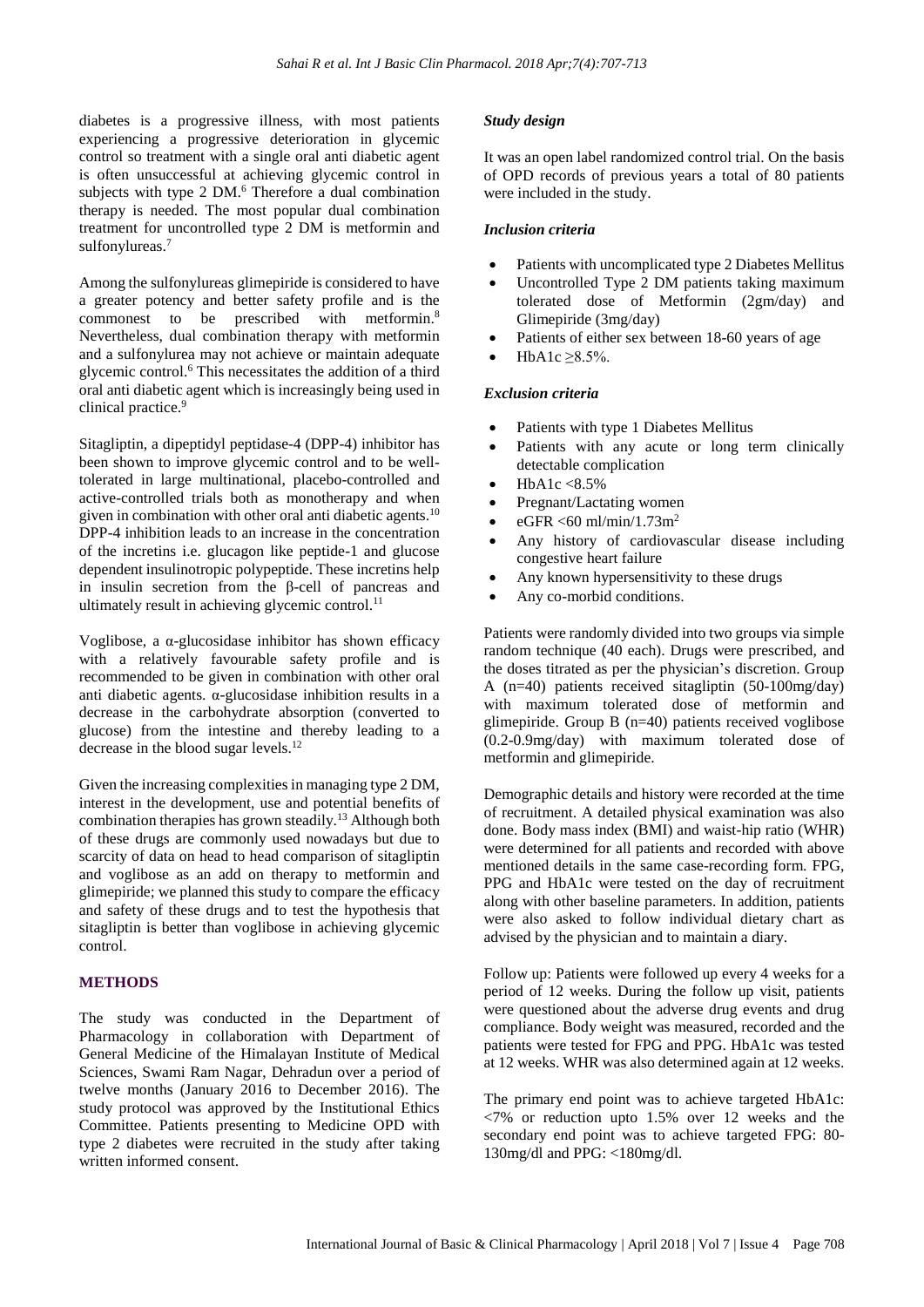diabetes is a progressive illness, with most patients experiencing a progressive deterioration in glycemic control so treatment with a single oral anti diabetic agent is often unsuccessful at achieving glycemic control in subjects with type 2 DM.<sup>6</sup> Therefore a dual combination therapy is needed. The most popular dual combination treatment for uncontrolled type 2 DM is metformin and sulfonylureas.<sup>7</sup>

Among the sulfonylureas glimepiride is considered to have a greater potency and better safety profile and is the commonest to be prescribed with metformin.<sup>8</sup> Nevertheless, dual combination therapy with metformin and a sulfonylurea may not achieve or maintain adequate glycemic control.<sup>6</sup> This necessitates the addition of a third oral anti diabetic agent which is increasingly being used in clinical practice. 9

Sitagliptin, a dipeptidyl peptidase-4 (DPP-4) inhibitor has been shown to improve glycemic control and to be welltolerated in large multinational, placebo-controlled and active-controlled trials both as monotherapy and when given in combination with other oral anti-diabetic agents.<sup>10</sup> DPP-4 inhibition leads to an increase in the concentration of the incretins i.e. glucagon like peptide-1 and glucose dependent insulinotropic polypeptide. These incretins help in insulin secretion from the β-cell of pancreas and ultimately result in achieving glycemic control. $^{11}$ 

Voglibose, a  $\alpha$ -glucosidase inhibitor has shown efficacy with a relatively favourable safety profile and is recommended to be given in combination with other oral anti diabetic agents.  $\alpha$ -glucosidase inhibition results in a decrease in the carbohydrate absorption (converted to glucose) from the intestine and thereby leading to a decrease in the blood sugar levels.<sup>12</sup>

Given the increasing complexities in managing type 2 DM, interest in the development, use and potential benefits of combination therapies has grown steadily.<sup>13</sup> Although both of these drugs are commonly used nowadays but due to scarcity of data on head to head comparison of sitagliptin and voglibose as an add on therapy to metformin and glimepiride; we planned this study to compare the efficacy and safety of these drugs and to test the hypothesis that sitagliptin is better than voglibose in achieving glycemic control.

#### **METHODS**

The study was conducted in the Department of Pharmacology in collaboration with Department of General Medicine of the Himalayan Institute of Medical Sciences, Swami Ram Nagar, Dehradun over a period of twelve months (January 2016 to December 2016). The study protocol was approved by the Institutional Ethics Committee. Patients presenting to Medicine OPD with type 2 diabetes were recruited in the study after taking written informed consent.

#### *Study design*

It was an open label randomized control trial. On the basis of OPD records of previous years a total of 80 patients were included in the study.

#### *Inclusion criteria*

- Patients with uncomplicated type 2 Diabetes Mellitus
- Uncontrolled Type 2 DM patients taking maximum tolerated dose of Metformin (2gm/day) and Glimepiride (3mg/day)
- Patients of either sex between 18-60 years of age
- HbA1c  $\geq$ 8.5%.

#### *Exclusion criteria*

- Patients with type 1 Diabetes Mellitus
- Patients with any acute or long term clinically detectable complication
- HbA1c <8.5%
- Pregnant/Lactating women
- $eGFR < 60$  ml/min/1.73m<sup>2</sup>
- Any history of cardiovascular disease including congestive heart failure
- Any known hypersensitivity to these drugs
- Any co-morbid conditions.

Patients were randomly divided into two groups via simple random technique (40 each). Drugs were prescribed, and the doses titrated as per the physician's discretion. Group A (n=40) patients received sitagliptin (50-100mg/day) with maximum tolerated dose of metformin and glimepiride. Group B (n=40) patients received voglibose (0.2-0.9mg/day) with maximum tolerated dose of metformin and glimepiride.

Demographic details and history were recorded at the time of recruitment. A detailed physical examination was also done. Body mass index (BMI) and waist-hip ratio (WHR) were determined for all patients and recorded with above mentioned details in the same case-recording form. FPG, PPG and HbA1c were tested on the day of recruitment along with other baseline parameters. In addition, patients were also asked to follow individual dietary chart as advised by the physician and to maintain a diary.

Follow up: Patients were followed up every 4 weeks for a period of 12 weeks. During the follow up visit, patients were questioned about the adverse drug events and drug compliance. Body weight was measured, recorded and the patients were tested for FPG and PPG. HbA1c was tested at 12 weeks. WHR was also determined again at 12 weeks.

The primary end point was to achieve targeted HbA1c:  $\langle 7\% \rangle$  or reduction upto 1.5% over 12 weeks and the secondary end point was to achieve targeted FPG: 80- 130mg/dl and PPG: <180mg/dl.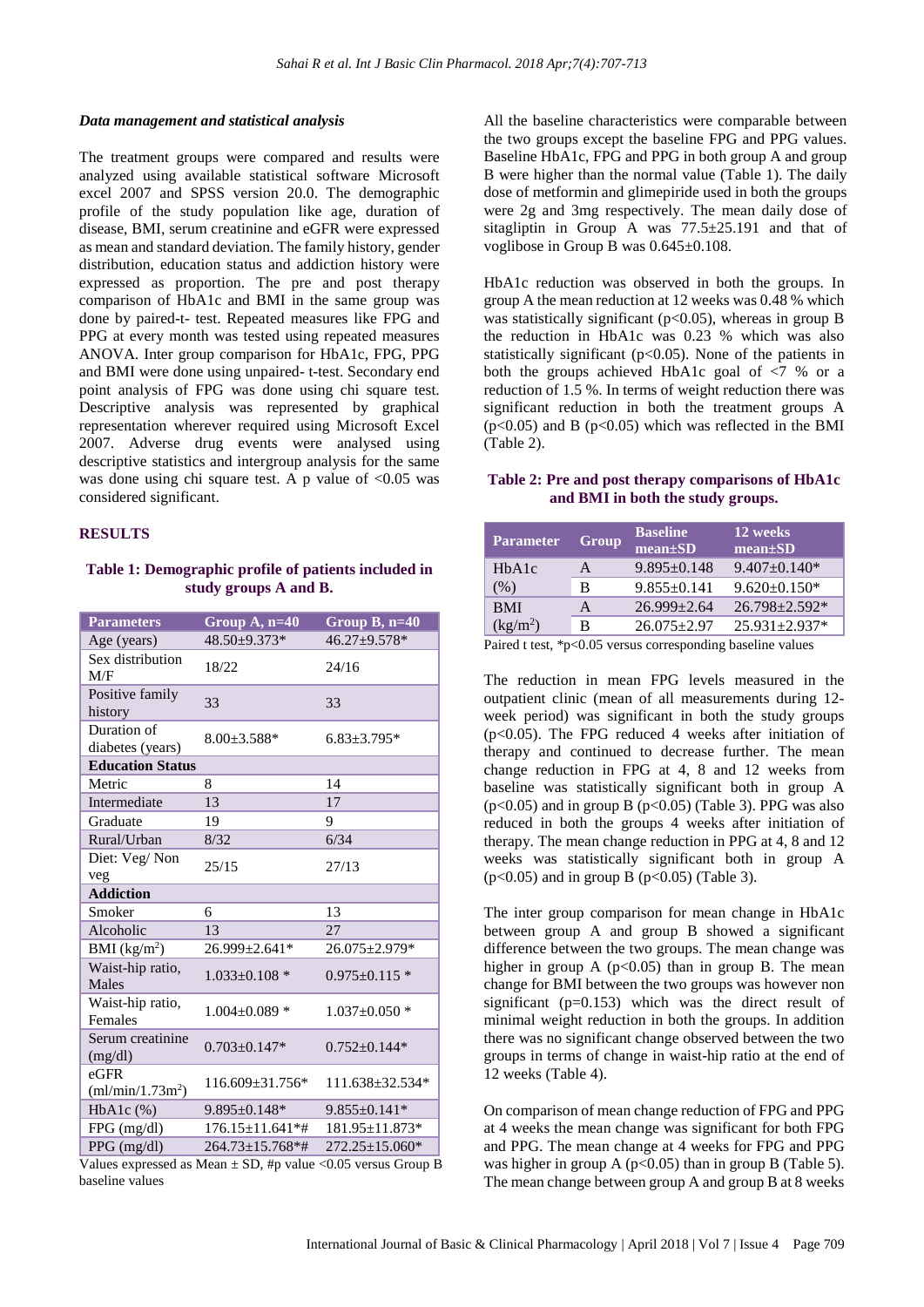#### *Data management and statistical analysis*

The treatment groups were compared and results were analyzed using available statistical software Microsoft excel 2007 and SPSS version 20.0. The demographic profile of the study population like age, duration of disease, BMI, serum creatinine and eGFR were expressed as mean and standard deviation. The family history, gender distribution, education status and addiction history were expressed as proportion. The pre and post therapy comparison of HbA1c and BMI in the same group was done by paired-t- test. Repeated measures like FPG and PPG at every month was tested using repeated measures ANOVA. Inter group comparison for HbA1c, FPG, PPG and BMI were done using unpaired- t-test. Secondary end point analysis of FPG was done using chi square test. Descriptive analysis was represented by graphical representation wherever required using Microsoft Excel 2007. Adverse drug events were analysed using descriptive statistics and intergroup analysis for the same was done using chi square test. A p value of  $< 0.05$  was considered significant.

#### **RESULTS**

#### **Table 1: Demographic profile of patients included in study groups A and B.**

| <b>Parameters</b>                       | Group $A, n=40$        | Group $B$ , $n=40$    |
|-----------------------------------------|------------------------|-----------------------|
| Age (years)                             | 48.50±9.373*           | 46.27±9.578*          |
| Sex distribution<br>M/F                 | 18/22                  | 24/16                 |
| Positive family<br>history              | 33                     | 33                    |
| Duration of<br>diabetes (years)         | $8.00 \pm 3.588*$      | $6.83 \pm 3.795*$     |
| <b>Education Status</b>                 |                        |                       |
| Metric                                  | 8                      | 14                    |
| Intermediate                            | 13                     | 17                    |
| Graduate                                | 19                     | 9                     |
| Rural/Urban                             | 8/32                   | 6/34                  |
| Diet: Veg/Non<br>veg                    | 25/15                  | 27/13                 |
| <b>Addiction</b>                        |                        |                       |
| Smoker                                  | 6                      | 13                    |
| Alcoholic                               | 13                     | 27                    |
| BMI (kg/m <sup>2</sup> )                | $26.999 + 2.641*$      | 26.075±2.979*         |
| Waist-hip ratio,<br>Males               | $1.033 \pm 0.108$ *    | $0.975 \pm 0.115$ *   |
| Waist-hip ratio,<br>Females             | $1.004 \pm 0.089$ *    | $1.037 \pm 0.050$ *   |
| Serum creatinine<br>(mg/dl)             | $0.703 + 0.147*$       | $0.752 + 0.144*$      |
| $e$ GFR<br>(ml/min/1.73m <sup>2</sup> ) | $116.609 \pm 31.756*$  | $111.638 \pm 32.534*$ |
| $HbA1c$ $(\%)$                          | $9.895 \pm 0.148*$     | $9.855 \pm 0.141*$    |
| FPG (mg/dl)                             | $176.15 \pm 11.641$ *# | 181.95±11.873*        |
| PPG (mg/dl)                             | 264.73±15.768*#        | 272.25±15.060*        |

Values expressed as Mean  $\pm$  SD, #p value <0.05 versus Group B baseline values

All the baseline characteristics were comparable between the two groups except the baseline FPG and PPG values. Baseline HbA1c, FPG and PPG in both group A and group B were higher than the normal value (Table 1). The daily dose of metformin and glimepiride used in both the groups were 2g and 3mg respectively. The mean daily dose of sitagliptin in Group A was 77.5±25.191 and that of voglibose in Group B was 0.645±0.108.

HbA1c reduction was observed in both the groups. In group A the mean reduction at 12 weeks was 0.48 % which was statistically significant ( $p<0.05$ ), whereas in group B the reduction in HbA1c was 0.23 % which was also statistically significant (p<0.05). None of the patients in both the groups achieved HbA1c goal of <7 % or a reduction of 1.5 %. In terms of weight reduction there was significant reduction in both the treatment groups A  $(p<0.05)$  and B  $(p<0.05)$  which was reflected in the BMI (Table 2).

#### **Table 2: Pre and post therapy comparisons of HbA1c and BMI in both the study groups.**

| <b>Parameter</b>     | Group | <b>Baseline</b><br>$mean \pm SD$ | 12 weeks<br>mean±SD |
|----------------------|-------|----------------------------------|---------------------|
| HbA1c                | A     | $9.895 \pm 0.148$                | $9.407 \pm 0.140*$  |
| (%)                  | в     | $9.855 \pm 0.141$                | $9.620 \pm 0.150$ * |
| <b>BMI</b>           | А     | $26.999 \pm 2.64$                | 26.798±2.592*       |
| (kg/m <sup>2</sup> ) | В     | $26.075 \pm 2.97$                | $25.931 \pm 2.937*$ |

Paired t test, \*p<0.05 versus corresponding baseline values

The reduction in mean FPG levels measured in the outpatient clinic (mean of all measurements during 12 week period) was significant in both the study groups ( $p<0.05$ ). The FPG reduced 4 weeks after initiation of therapy and continued to decrease further. The mean change reduction in FPG at 4, 8 and 12 weeks from baseline was statistically significant both in group A  $(p<0.05)$  and in group B  $(p<0.05)$  (Table 3). PPG was also reduced in both the groups 4 weeks after initiation of therapy. The mean change reduction in PPG at 4, 8 and 12 weeks was statistically significant both in group A  $(p<0.05)$  and in group B  $(p<0.05)$  (Table 3).

The inter group comparison for mean change in HbA1c between group A and group B showed a significant difference between the two groups. The mean change was higher in group A ( $p<0.05$ ) than in group B. The mean change for BMI between the two groups was however non significant (p=0.153) which was the direct result of minimal weight reduction in both the groups. In addition there was no significant change observed between the two groups in terms of change in waist-hip ratio at the end of 12 weeks (Table 4).

On comparison of mean change reduction of FPG and PPG at 4 weeks the mean change was significant for both FPG and PPG. The mean change at 4 weeks for FPG and PPG was higher in group A ( $p<0.05$ ) than in group B (Table 5). The mean change between group A and group B at 8 weeks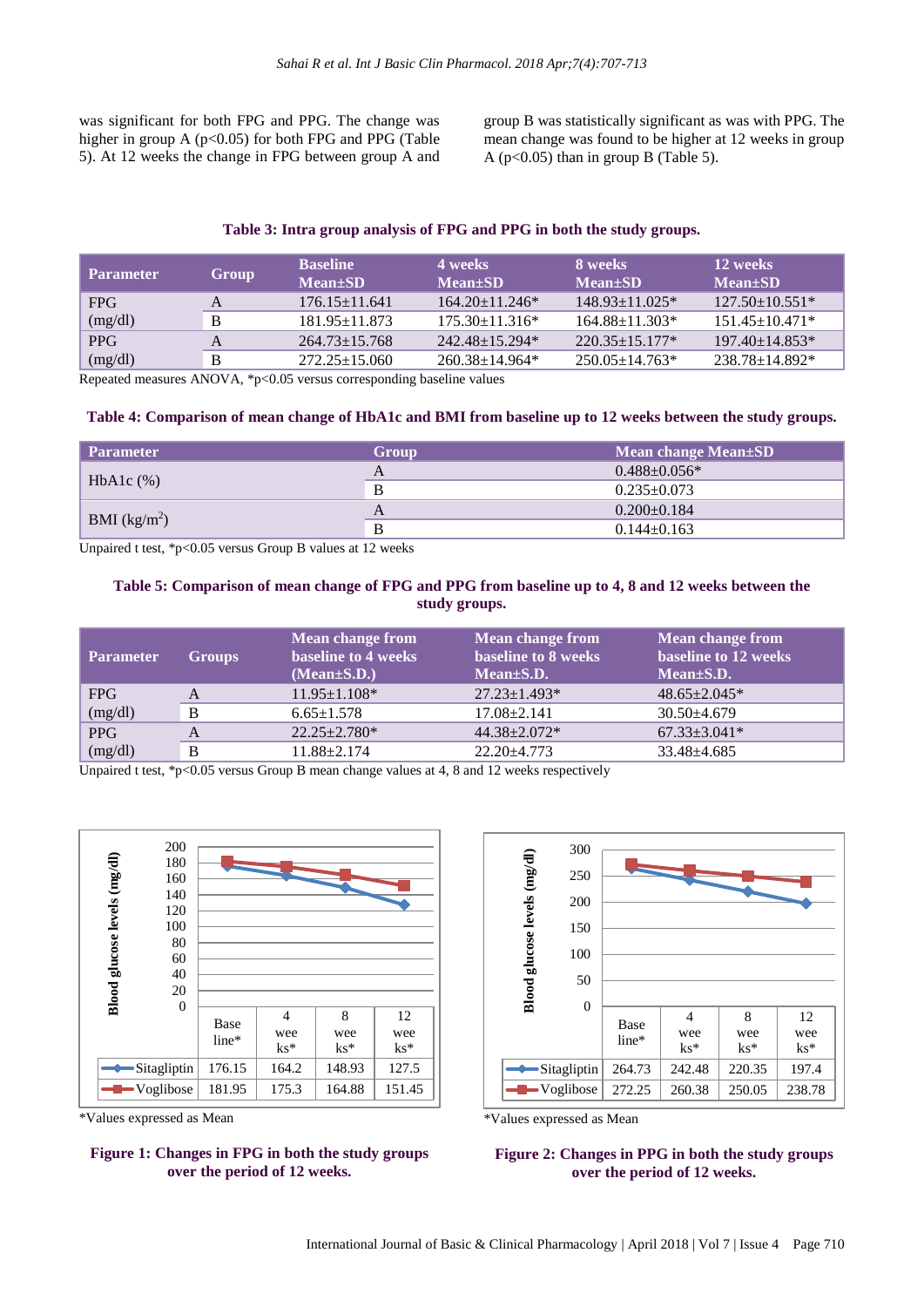was significant for both FPG and PPG. The change was higher in group A ( $p<0.05$ ) for both FPG and PPG (Table 5). At 12 weeks the change in FPG between group A and group B was statistically significant as was with PPG. The mean change was found to be higher at 12 weeks in group A ( $p<0.05$ ) than in group B (Table 5).

#### **Table 3: Intra group analysis of FPG and PPG in both the study groups.**

| <b>Parameter</b> | Group | <b>Baseline</b><br>$Mean \pm SD$ | 4 weeks<br>Mean+SD   | 8 weeks<br><b>Mean</b> ±SD | 12 weeks<br>$Mean \pm SD$ |
|------------------|-------|----------------------------------|----------------------|----------------------------|---------------------------|
| <b>FPG</b>       |       | $176.15 + 11.641$                | $164.20 + 11.246*$   | $148.93 + 11.025*$         | $127.50 + 10.551*$        |
| (mg/dl)          |       | $181.95 + 11.873$                | $175.30 + 11.316*$   | $164.88 + 11.303*$         | $151.45 + 10.471*$        |
| <b>PPG</b>       |       | $264.73 \pm 15.768$              | $242.48 + 15.294*$   | $220.35 + 15.177*$         | $197.40 + 14.853*$        |
| (mg/dl)          |       | $272.25 + 15.060$                | $260.38 \pm 14.964*$ | $250.05 + 14.763*$         | 238.78+14.892*            |

Repeated measures ANOVA, \*p<0.05 versus corresponding baseline values

#### Table 4: Comparison of mean change of HbA1c and BMI from baseline up to 12 weeks between the study groups.

| <b>Parameter</b> | <b>Group</b> | Mean change Mean $\pm$ SD |
|------------------|--------------|---------------------------|
|                  |              | $0.488 + 0.056*$          |
| HbAlc $(\%)$     |              | $0.235 \pm 0.073$         |
|                  |              | $0.200 \pm 0.184$         |
| BMI $(kg/m^2)$   | Đ            | $0.144 + 0.163$           |

Unpaired t test, \*p<0.05 versus Group B values at 12 weeks

#### Table 5: Comparison of mean change of FPG and PPG from baseline up to 4, 8 and 12 weeks between the **study groups.**

| <b>Parameter</b> | <b>Groups</b> | <b>Mean change from</b><br><b>baseline to 4 weeks</b><br>$(Mean \pm S.D.)$ | <b>Mean change from</b><br>baseline to 8 weeks<br>$Mean \pm S.D.$ | <b>Mean change from</b><br>baseline to 12 weeks<br>$Mean \pm S.D.$ |
|------------------|---------------|----------------------------------------------------------------------------|-------------------------------------------------------------------|--------------------------------------------------------------------|
| <b>FPG</b>       | A             | $11.95 \pm 1.108*$                                                         | $27.23 \pm 1.493*$                                                | $48.65 \pm 2.045*$                                                 |
| (mg/dl)          | B             | $6.65 \pm 1.578$                                                           | $17.08 \pm 2.141$                                                 | $30.50 \pm 4.679$                                                  |
| <b>PPG</b>       |               | $22.25 \pm 2.780*$                                                         | 44.38±2.072*                                                      | $67.33 \pm 3.041*$                                                 |
| (mg/dl)          | B             | $11.88 + 2.174$                                                            | $22.20 + 4.773$                                                   | $33.48 + 4.685$                                                    |

Unpaired t test, \*p<0.05 versus Group B mean change values at 4, 8 and 12 weeks respectively



\*Values expressed as Mean

#### **Figure 1: Changes in FPG in both the study groups over the period of 12 weeks.**



\*Values expressed as Mean

#### **Figure 2: Changes in PPG in both the study groups over the period of 12 weeks.**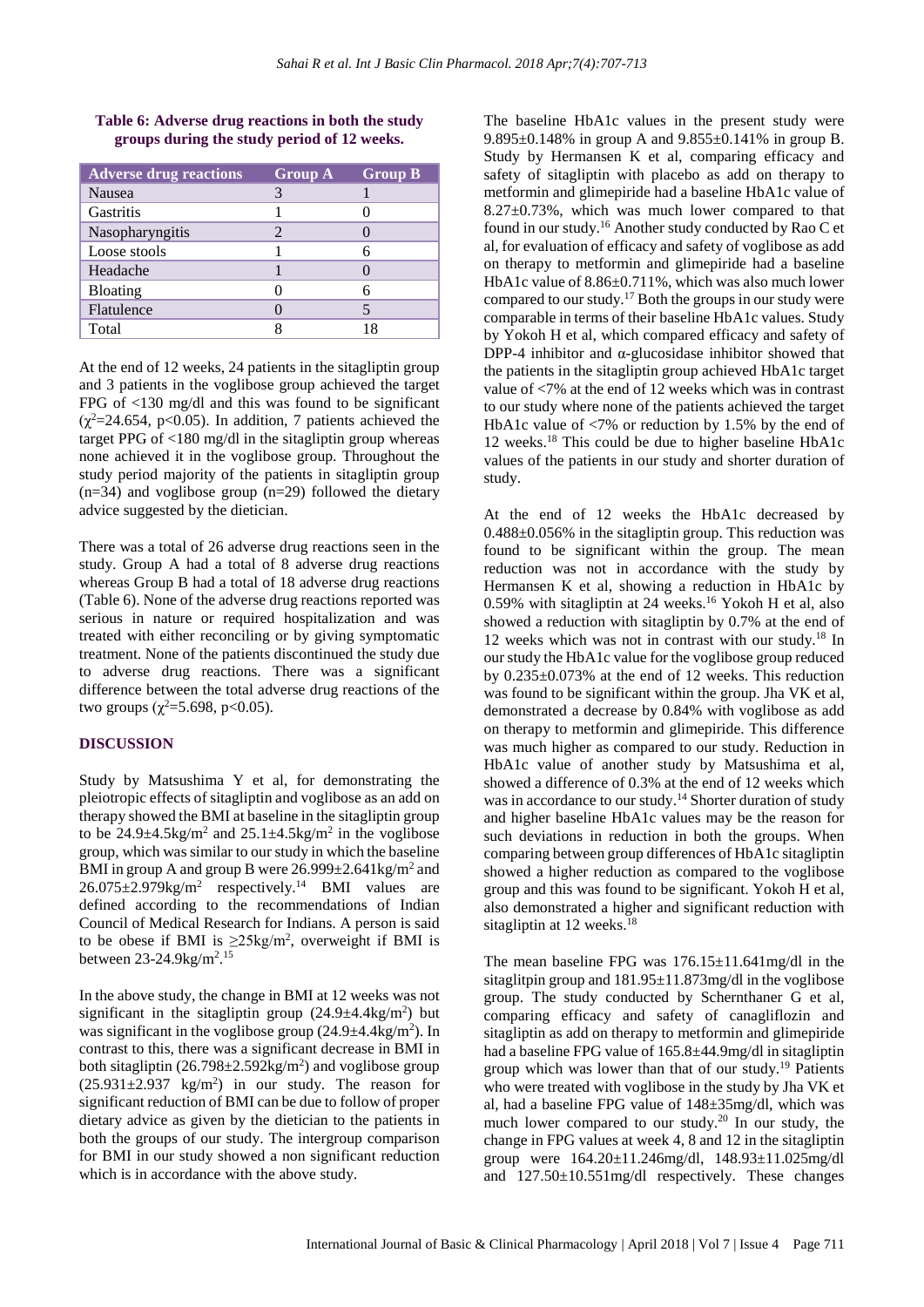| Table 6: Adverse drug reactions in both the study |  |
|---------------------------------------------------|--|
| groups during the study period of 12 weeks.       |  |

| <b>Adverse drug reactions</b> | <b>Group A</b> | <b>Group B</b> |
|-------------------------------|----------------|----------------|
| <b>Nausea</b>                 |                |                |
| Gastritis                     |                |                |
| Nasopharyngitis               |                |                |
| Loose stools                  |                |                |
| Headache                      |                |                |
| <b>Bloating</b>               |                |                |
| Flatulence                    |                |                |
| Total                         |                | 18             |

At the end of 12 weeks, 24 patients in the sitagliptin group and 3 patients in the voglibose group achieved the target FPG of <130 mg/dl and this was found to be significant  $(\chi^2=24.654, \text{ p}<0.05)$ . In addition, 7 patients achieved the target PPG of <180 mg/dl in the sitagliptin group whereas none achieved it in the voglibose group. Throughout the study period majority of the patients in sitagliptin group  $(n=34)$  and voglibose group  $(n=29)$  followed the dietary advice suggested by the dietician.

There was a total of 26 adverse drug reactions seen in the study. Group A had a total of 8 adverse drug reactions whereas Group B had a total of 18 adverse drug reactions (Table 6). None of the adverse drug reactions reported was serious in nature or required hospitalization and was treated with either reconciling or by giving symptomatic treatment. None of the patients discontinued the study due to adverse drug reactions. There was a significant difference between the total adverse drug reactions of the two groups ( $\chi^2$ =5.698, p<0.05).

#### **DISCUSSION**

Study by Matsushima Y et al, for demonstrating the pleiotropic effects of sitagliptin and voglibose as an add on therapy showed the BMI at baseline in the sitagliptin group to be  $24.9\pm4.5\text{kg/m}^2$  and  $25.1\pm4.5\text{kg/m}^2$  in the voglibose group, which wassimilar to our study in which the baseline BMI in group A and group B were  $26.999 \pm 2.641 \text{kg/m}^2$  and  $26.075 \pm 2.979 \text{kg/m}^2$  respectively.<sup>14</sup> BMI values are defined according to the recommendations of Indian Council of Medical Research for Indians. A person is said to be obese if BMI is  $\geq 25 \text{kg/m}^2$ , overweight if BMI is between 23-24.9kg/m<sup>2</sup>.<sup>15</sup>

In the above study, the change in BMI at 12 weeks was not significant in the sitagliptin group  $(24.9 \pm 4.4 \text{kg/m}^2)$  but was significant in the voglibose group  $(24.9 \pm 4.4 \text{kg/m}^2)$ . In contrast to this, there was a significant decrease in BMI in both sitagliptin  $(26.798 \pm 2.592 \text{kg/m}^2)$  and voglibose group  $(25.931 \pm 2.937 \text{ kg/m}^2)$  in our study. The reason for significant reduction of BMI can be due to follow of proper dietary advice as given by the dietician to the patients in both the groups of our study. The intergroup comparison for BMI in our study showed a non significant reduction which is in accordance with the above study.

The baseline HbA1c values in the present study were 9.895±0.148% in group A and 9.855±0.141% in group B. Study by Hermansen K et al, comparing efficacy and safety of sitagliptin with placebo as add on therapy to metformin and glimepiride had a baseline HbA1c value of 8.27±0.73%, which was much lower compared to that found in our study.<sup>16</sup> Another study conducted by Rao C et al, for evaluation of efficacy and safety of voglibose as add on therapy to metformin and glimepiride had a baseline HbA1c value of 8.86±0.711%, which was also much lower compared to our study.<sup>17</sup> Both the groups in our study were comparable in terms of their baseline HbA1c values. Study by Yokoh H et al, which compared efficacy and safety of DPP-4 inhibitor and  $\alpha$ -glucosidase inhibitor showed that the patients in the sitagliptin group achieved HbA1c target value of <7% at the end of 12 weeks which was in contrast to our study where none of the patients achieved the target HbA1c value of <7% or reduction by 1.5% by the end of 12 weeks.<sup>18</sup> This could be due to higher baseline HbA1c values of the patients in our study and shorter duration of study.

At the end of 12 weeks the HbA1c decreased by 0.488±0.056% in the sitagliptin group. This reduction was found to be significant within the group. The mean reduction was not in accordance with the study by Hermansen K et al, showing a reduction in HbA1c by 0.59% with sitagliptin at 24 weeks.<sup>16</sup> Yokoh H et al, also showed a reduction with sitagliptin by 0.7% at the end of 12 weeks which was not in contrast with our study.<sup>18</sup> In our study the HbA1c value for the voglibose group reduced by 0.235±0.073% at the end of 12 weeks. This reduction was found to be significant within the group. Jha VK et al, demonstrated a decrease by 0.84% with voglibose as add on therapy to metformin and glimepiride. This difference was much higher as compared to our study. Reduction in HbA1c value of another study by Matsushima et al, showed a difference of 0.3% at the end of 12 weeks which was in accordance to our study.<sup>14</sup> Shorter duration of study and higher baseline HbA1c values may be the reason for such deviations in reduction in both the groups. When comparing between group differences of HbA1c sitagliptin showed a higher reduction as compared to the voglibose group and this was found to be significant. Yokoh H et al, also demonstrated a higher and significant reduction with sitagliptin at 12 weeks.<sup>18</sup>

The mean baseline FPG was 176.15±11.641mg/dl in the sitaglitpin group and 181.95±11.873mg/dl in the voglibose group. The study conducted by Schernthaner G et al, comparing efficacy and safety of canagliflozin and sitagliptin as add on therapy to metformin and glimepiride had a baseline FPG value of 165.8±44.9mg/dl in sitagliptin group which was lower than that of our study.<sup>19</sup> Patients who were treated with voglibose in the study by Jha VK et al, had a baseline FPG value of 148±35mg/dl, which was much lower compared to our study.<sup>20</sup> In our study, the change in FPG values at week 4, 8 and 12 in the sitagliptin group were 164.20±11.246mg/dl, 148.93±11.025mg/dl and 127.50±10.551mg/dl respectively. These changes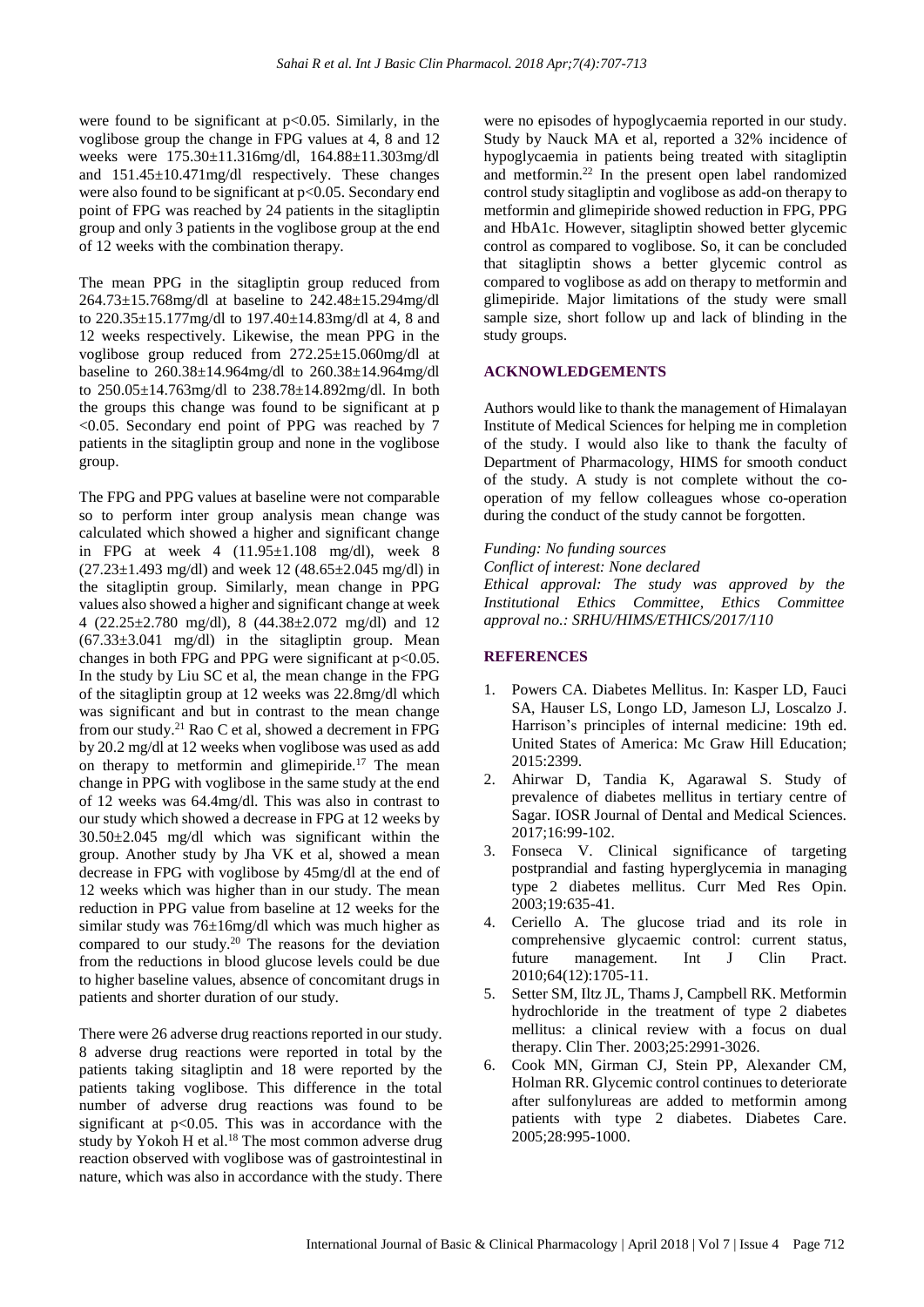were found to be significant at  $p<0.05$ . Similarly, in the voglibose group the change in FPG values at 4, 8 and 12 weeks were 175.30±11.316mg/dl, 164.88±11.303mg/dl and 151.45±10.471mg/dl respectively. These changes were also found to be significant at  $p<0.05$ . Secondary end point of FPG was reached by 24 patients in the sitagliptin group and only 3 patients in the voglibose group at the end of 12 weeks with the combination therapy.

The mean PPG in the sitagliptin group reduced from 264.73±15.768mg/dl at baseline to 242.48±15.294mg/dl to 220.35±15.177mg/dl to 197.40±14.83mg/dl at 4, 8 and 12 weeks respectively. Likewise, the mean PPG in the voglibose group reduced from 272.25±15.060mg/dl at baseline to 260.38±14.964mg/dl to 260.38±14.964mg/dl to 250.05±14.763mg/dl to 238.78±14.892mg/dl. In both the groups this change was found to be significant at p <0.05. Secondary end point of PPG was reached by 7 patients in the sitagliptin group and none in the voglibose group.

The FPG and PPG values at baseline were not comparable so to perform inter group analysis mean change was calculated which showed a higher and significant change in FPG at week  $4$   $(11.95\pm1.108 \text{ mg/dl})$ , week  $8$  $(27.23 \pm 1.493 \text{ mg/dl})$  and week 12  $(48.65 \pm 2.045 \text{ mg/dl})$  in the sitagliptin group. Similarly, mean change in PPG values also showed a higher and significant change at week 4 (22.25±2.780 mg/dl), 8 (44.38±2.072 mg/dl) and 12  $(67.33\pm3.041 \text{ mg/dl})$  in the sitagliptin group. Mean changes in both FPG and PPG were significant at  $p<0.05$ . In the study by Liu SC et al, the mean change in the FPG of the sitagliptin group at 12 weeks was 22.8mg/dl which was significant and but in contrast to the mean change from our study.<sup>21</sup> Rao C et al, showed a decrement in FPG by 20.2 mg/dl at 12 weeks when voglibose was used as add on therapy to metformin and glimepiride.<sup>17</sup> The mean change in PPG with voglibose in the same study at the end of 12 weeks was 64.4mg/dl. This was also in contrast to our study which showed a decrease in FPG at 12 weeks by 30.50±2.045 mg/dl which was significant within the group. Another study by Jha VK et al, showed a mean decrease in FPG with voglibose by 45mg/dl at the end of 12 weeks which was higher than in our study. The mean reduction in PPG value from baseline at 12 weeks for the similar study was 76±16mg/dl which was much higher as compared to our study.<sup>20</sup> The reasons for the deviation from the reductions in blood glucose levels could be due to higher baseline values, absence of concomitant drugs in patients and shorter duration of our study.

There were 26 adverse drug reactions reported in our study. 8 adverse drug reactions were reported in total by the patients taking sitagliptin and 18 were reported by the patients taking voglibose. This difference in the total number of adverse drug reactions was found to be significant at  $p<0.05$ . This was in accordance with the study by Yokoh H et al.<sup>18</sup> The most common adverse drug reaction observed with voglibose was of gastrointestinal in nature, which was also in accordance with the study. There

were no episodes of hypoglycaemia reported in our study. Study by Nauck MA et al, reported a 32% incidence of hypoglycaemia in patients being treated with sitagliptin and metformin.<sup>22</sup> In the present open label randomized control study sitagliptin and voglibose as add-on therapy to metformin and glimepiride showed reduction in FPG, PPG and HbA1c. However, sitagliptin showed better glycemic control as compared to voglibose. So, it can be concluded that sitagliptin shows a better glycemic control as compared to voglibose as add on therapy to metformin and glimepiride. Major limitations of the study were small sample size, short follow up and lack of blinding in the study groups.

#### **ACKNOWLEDGEMENTS**

Authors would like to thank the management of Himalayan Institute of Medical Sciences for helping me in completion of the study. I would also like to thank the faculty of Department of Pharmacology, HIMS for smooth conduct of the study. A study is not complete without the cooperation of my fellow colleagues whose co-operation during the conduct of the study cannot be forgotten.

#### *Funding: No funding sources*

*Conflict of interest: None declared*

*Ethical approval: The study was approved by the Institutional Ethics Committee, Ethics Committee approval no.: SRHU/HIMS/ETHICS/2017/110*

#### **REFERENCES**

- 1. Powers CA. Diabetes Mellitus. In: Kasper LD, Fauci SA, Hauser LS, Longo LD, Jameson LJ, Loscalzo J. Harrison's principles of internal medicine: 19th ed. United States of America: Mc Graw Hill Education; 2015:2399.
- 2. Ahirwar D, Tandia K, Agarawal S. Study of prevalence of diabetes mellitus in tertiary centre of Sagar. IOSR Journal of Dental and Medical Sciences. 2017;16:99-102.
- 3. Fonseca V. Clinical significance of targeting postprandial and fasting hyperglycemia in managing type 2 diabetes mellitus. Curr Med Res Opin. 2003;19:635-41.
- 4. Ceriello A. The glucose triad and its role in comprehensive glycaemic control: current status, future management. Int J Clin Pract. 2010;64(12):1705-11.
- 5. Setter SM, Iltz JL, Thams J, Campbell RK. Metformin hydrochloride in the treatment of type 2 diabetes mellitus: a clinical review with a focus on dual therapy. Clin Ther. 2003;25:2991-3026.
- 6. Cook MN, Girman CJ, Stein PP, Alexander CM, Holman RR. Glycemic control continues to deteriorate after sulfonylureas are added to metformin among patients with type 2 diabetes. Diabetes Care. 2005;28:995-1000.